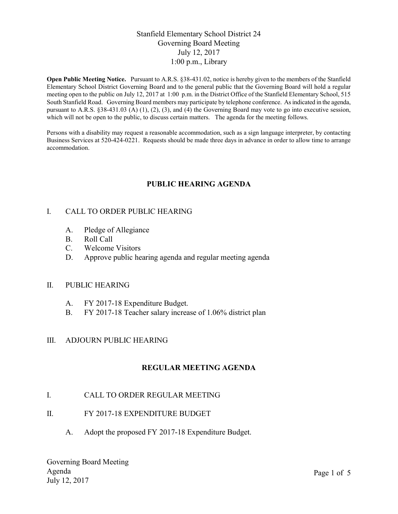### Stanfield Elementary School District 24 Governing Board Meeting July 12, 2017 1:00 p.m., Library

Open Public Meeting Notice. Pursuant to A.R.S. §38-431.02, notice is hereby given to the members of the Stanfield Elementary School District Governing Board and to the general public that the Governing Board will hold a regular meeting open to the public on July 12, 2017 at 1:00 p.m. in the District Office of the Stanfield Elementary School, 515 South Stanfield Road. Governing Board members may participate by telephone conference. As indicated in the agenda, pursuant to A.R.S. §38-431.03 (A) (1), (2), (3), and (4) the Governing Board may vote to go into executive session, which will not be open to the public, to discuss certain matters. The agenda for the meeting follows.

Persons with a disability may request a reasonable accommodation, such as a sign language interpreter, by contacting Business Services at 520-424-0221. Requests should be made three days in advance in order to allow time to arrange accommodation.

## PUBLIC HEARING AGENDA

### I. CALL TO ORDER PUBLIC HEARING

- A. Pledge of Allegiance
- B. Roll Call
- C. Welcome Visitors
- D. Approve public hearing agenda and regular meeting agenda

### II. PUBLIC HEARING

- A. FY 2017-18 Expenditure Budget.
- B. FY 2017-18 Teacher salary increase of 1.06% district plan

### III. ADJOURN PUBLIC HEARING

### REGULAR MEETING AGENDA

### I. CALL TO ORDER REGULAR MEETING

- II. FY 2017-18 EXPENDITURE BUDGET
	- A. Adopt the proposed FY 2017-18 Expenditure Budget.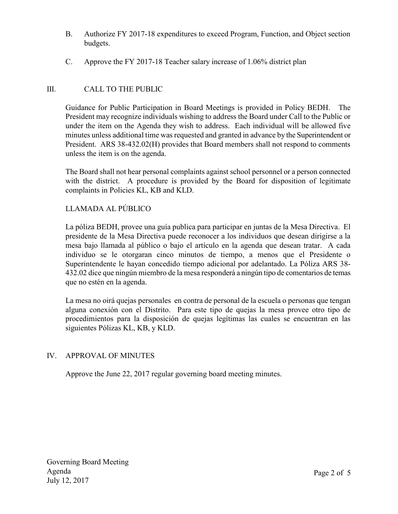- B. Authorize FY 2017-18 expenditures to exceed Program, Function, and Object section budgets.
- C. Approve the FY 2017-18 Teacher salary increase of 1.06% district plan

# III. CALL TO THE PUBLIC

Guidance for Public Participation in Board Meetings is provided in Policy BEDH. The President may recognize individuals wishing to address the Board under Call to the Public or under the item on the Agenda they wish to address. Each individual will be allowed five minutes unless additional time was requested and granted in advance by the Superintendent or President. ARS 38-432.02(H) provides that Board members shall not respond to comments unless the item is on the agenda.

The Board shall not hear personal complaints against school personnel or a person connected with the district. A procedure is provided by the Board for disposition of legitimate complaints in Policies KL, KB and KLD.

## LLAMADA AL PÚBLICO

La póliza BEDH, provee una guía publica para participar en juntas de la Mesa Directiva. El presidente de la Mesa Directiva puede reconocer a los individuos que desean dirigirse a la mesa bajo llamada al público o bajo el artículo en la agenda que desean tratar. A cada individuo se le otorgaran cinco minutos de tiempo, a menos que el Presidente o Superintendente le hayan concedido tiempo adicional por adelantado. La Póliza ARS 38- 432.02 dice que ningún miembro de la mesa responderá a ningún tipo de comentarios de temas que no estén en la agenda.

La mesa no oirá quejas personales en contra de personal de la escuela o personas que tengan alguna conexión con el Distrito. Para este tipo de quejas la mesa provee otro tipo de procedimientos para la disposición de quejas legítimas las cuales se encuentran en las siguientes Pólizas KL, KB, y KLD.

### IV. APPROVAL OF MINUTES

Approve the June 22, 2017 regular governing board meeting minutes.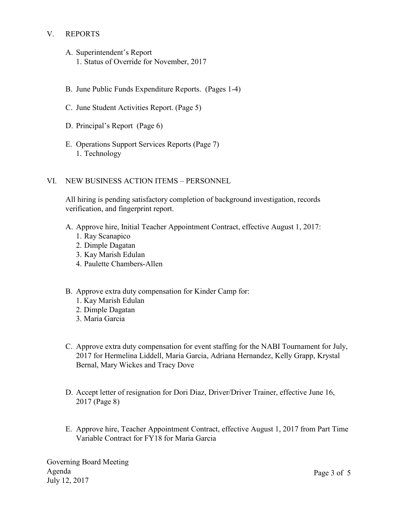## V. REPORTS

- A. Superintendent's Report 1. Status of Override for November, 2017
- B. June Public Funds Expenditure Reports. (Pages 1-4)
- C. June Student Activities Report. (Page 5)
- D. Principal's Report (Page 6)
- E. Operations Support Services Reports (Page 7) 1. Technology
- VI. NEW BUSINESS ACTION ITEMS PERSONNEL

All hiring is pending satisfactory completion of background investigation, records verification, and fingerprint report.

- A. Approve hire, Initial Teacher Appointment Contract, effective August 1, 2017:
	- 1. Ray Scanapico
	- 2. Dimple Dagatan
	- 3. Kay Marish Edulan
	- 4. Paulette Chambers-Allen
- B. Approve extra duty compensation for Kinder Camp for:
	- 1. Kay Marish Edulan
	- 2. Dimple Dagatan
	- 3. Maria Garcia
- C. Approve extra duty compensation for event staffing for the NABI Tournament for July, 2017 for Hermelina Liddell, Maria Garcia, Adriana Hernandez, Kelly Grapp, Krystal Bernal, Mary Wickes and Tracy Dove
- D. Accept letter of resignation for Dori Diaz, Driver/Driver Trainer, effective June 16, 2017 (Page 8)
- E. Approve hire, Teacher Appointment Contract, effective August 1, 2017 from Part Time Variable Contract for FY18 for Maria Garcia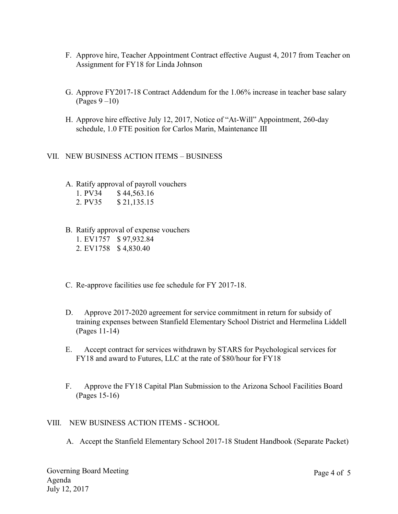- F. Approve hire, Teacher Appointment Contract effective August 4, 2017 from Teacher on Assignment for FY18 for Linda Johnson
- G. Approve FY2017-18 Contract Addendum for the 1.06% increase in teacher base salary (Pages 9 –10)
- H. Approve hire effective July 12, 2017, Notice of "At-Will" Appointment, 260-day schedule, 1.0 FTE position for Carlos Marin, Maintenance III

### VII. NEW BUSINESS ACTION ITEMS – BUSINESS

A. Ratify approval of payroll vouchers

| 1. PV34 | \$44,563.16 |
|---------|-------------|
| 2. PV35 | \$21,135.15 |

- B. Ratify approval of expense vouchers
	- 1. EV1757 \$ 97,932.84 2. EV1758 \$ 4,830.40
- C. Re-approve facilities use fee schedule for FY 2017-18.
- D. Approve 2017-2020 agreement for service commitment in return for subsidy of training expenses between Stanfield Elementary School District and Hermelina Liddell (Pages 11-14)
- E. Accept contract for services withdrawn by STARS for Psychological services for FY18 and award to Futures, LLC at the rate of \$80/hour for FY18
- F. Approve the FY18 Capital Plan Submission to the Arizona School Facilities Board (Pages 15-16)

### VIII. NEW BUSINESS ACTION ITEMS - SCHOOL

A. Accept the Stanfield Elementary School 2017-18 Student Handbook (Separate Packet)